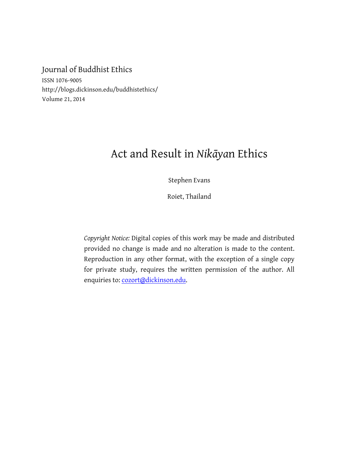## Journal of Buddhist Ethics

ISSN 1076-9005 http://blogs.dickinson.edu/buddhistethics/ Volume 21, 2014

# Act and Result in *Nikāya*n Ethics

Stephen Evans

Roiet, Thailand

*Copyright Notice:* Digital copies of this work may be made and distributed provided no change is made and no alteration is made to the content. Reproduction in any other format, with the exception of a single copy for private study, requires the written permission of the author. All enquiries to: cozort@dickinson.edu.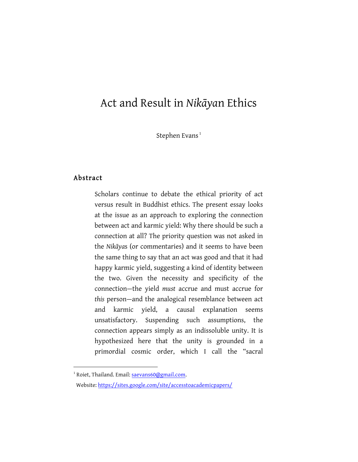## Act and Result in *Nikāya*n Ethics

Stephen Evans<sup>1</sup>

#### Abstract

1

Scholars continue to debate the ethical priority of act versus result in Buddhist ethics. The present essay looks at the issue as an approach to exploring the connection between act and karmic yield: Why there should be such a connection at all? The priority question was not asked in the *Nikāya*s (or commentaries) and it seems to have been the same thing to say that an act was good and that it had happy karmic yield, suggesting a kind of identity between the two. Given the necessity and specificity of the connection—the yield *must* accrue and must accrue for *this* person—and the analogical resemblance between act and karmic yield, a causal explanation seems unsatisfactory. Suspending such assumptions, the connection appears simply as an indissoluble unity. It is hypothesized here that the unity is grounded in a primordial cosmic order, which I call the "sacral

<sup>&</sup>lt;sup>1</sup> Roiet, Thailand. Email: saevans60@gmail.com.

Website: https://sites.google.com/site/accesstoacademicpapers/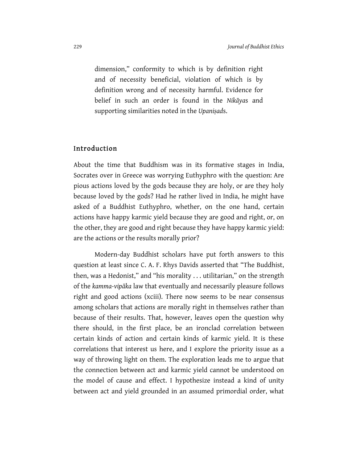dimension," conformity to which is by definition right and of necessity beneficial, violation of which is by definition wrong and of necessity harmful. Evidence for belief in such an order is found in the *Nikāya*s and supporting similarities noted in the *Upaniṣad*s.

#### Introduction

About the time that Buddhism was in its formative stages in India, Socrates over in Greece was worrying Euthyphro with the question: Are pious actions loved by the gods because they are holy, or are they holy because loved by the gods? Had he rather lived in India, he might have asked of a Buddhist Euthyphro, whether, on the one hand, certain actions have happy karmic yield because they are good and right, or, on the other, they are good and right because they have happy karmic yield: are the actions or the results morally prior?

Modern-day Buddhist scholars have put forth answers to this question at least since C. A. F. Rhys Davids asserted that "The Buddhist, then, was a Hedonist," and "his morality . . . utilitarian," on the strength of the *kamma-vipāka* law that eventually and necessarily pleasure follows right and good actions (xciii). There now seems to be near consensus among scholars that actions are morally right in themselves rather than because of their results. That, however, leaves open the question why there should, in the first place, be an ironclad correlation between certain kinds of action and certain kinds of karmic yield. It is these correlations that interest us here, and I explore the priority issue as a way of throwing light on them. The exploration leads me to argue that the connection between act and karmic yield cannot be understood on the model of cause and effect. I hypothesize instead a kind of unity between act and yield grounded in an assumed primordial order, what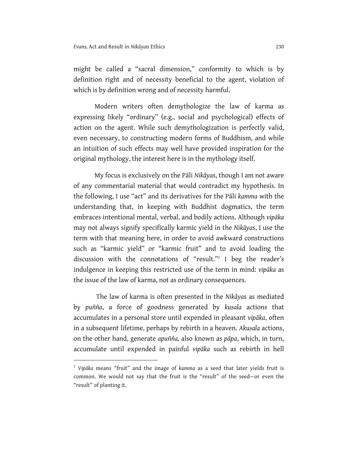might be called a "sacral dimension," conformity to which is by definition right and of necessity beneficial to the agent, violation of which is by definition wrong and of necessity harmful.

Modern writers often demythologize the law of karma as expressing likely "ordinary" (e.g., social and psychological) effects of action on the agent. While such demythologization is perfectly valid, even necessary, to constructing modern forms of Buddhism, and while an intuition of such effects may well have provided inspiration for the original mythology, the interest here is in the mythology itself.

My focus is exclusively on the Pāli *Nikāya*s, though I am not aware of any commentarial material that would contradict my hypothesis. In the following, I use "act" and its derivatives for the Pāli *kamma* with the understanding that, in keeping with Buddhist dogmatics, the term embraces intentional mental, verbal, and bodily actions. Although *vipāka* may not always signify specifically karmic yield in the *Nikāya*s, I use the term with that meaning here, in order to avoid awkward constructions such as "karmic yield" or "karmic fruit" and to avoid loading the discussion with the connotations of "result."2 I beg the reader's indulgence in keeping this restricted use of the term in mind: *vipāka* as the issue of the law of karma, not as ordinary consequences.

The law of karma is often presented in the *Nikāya*s as mediated by *puñña*, a force of goodness generated by *kusala* actions that accumulates in a personal store until expended in pleasant *vipāka*, often in a subsequent lifetime, perhaps by rebirth in a heaven. *Akusala* actions, on the other hand, generate *apuñña,* also known as *pāpa*, which, in turn, accumulate until expended in painful *vipāka* such as rebirth in hell

<sup>2</sup> *Vipāka* means "fruit" and the image of *kamma* as a seed that later yields fruit is common. We would not say that the fruit is the "result" of the seed—or even the "result" of planting it.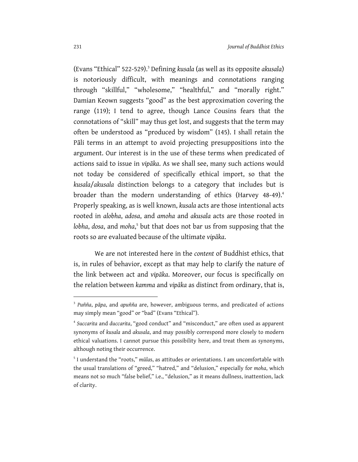(Evans "Ethical" 522-529).<sup>3</sup> Defining *kusala* (as well as its opposite *akusala*) is notoriously difficult, with meanings and connotations ranging through "skillful," "wholesome," "healthful," and "morally right." Damian Keown suggests "good" as the best approximation covering the range (119); I tend to agree, though Lance Cousins fears that the connotations of "skill" may thus get lost, and suggests that the term may often be understood as "produced by wisdom" (145). I shall retain the Pāli terms in an attempt to avoid projecting presuppositions into the argument. Our interest is in the use of these terms when predicated of actions said to issue in *vipāka*. As we shall see, many such actions would not today be considered of specifically ethical import, so that the *kusala*/*akusala* distinction belongs to a category that includes but is broader than the modern understanding of ethics (Harvey 48-49).<sup>4</sup> Properly speaking, as is well known, *kusala* acts are those intentional acts rooted in *alobha*, *adosa*, and *amoha* and *akusala* acts are those rooted in *lobha*, *dosa*, and *moha*, <sup>5</sup> but that does not bar us from supposing that the roots so are evaluated because of the ultimate *vipāka*.

We are not interested here in the *content* of Buddhist ethics, that is, in rules of behavior, except as that may help to clarify the nature of the link between act and *vipāka*. Moreover, our focus is specifically on the relation between *kamma* and *vipāka* as distinct from ordinary, that is,

<sup>3</sup> *Puñña*, *pāpa*, and *apuñña* are, however, ambiguous terms, and predicated of actions may simply mean "good" or "bad" (Evans "Ethical").

<sup>4</sup> *Succarita* and *duccarita*, "good conduct" and "misconduct," are often used as apparent synonyms of *kusala* and *akusala*, and may possibly correspond more closely to modern ethical valuations. I cannot pursue this possibility here, and treat them as synonyms, although noting their occurrence.

<sup>5</sup> I understand the "roots," *mūla*s, as attitudes or orientations. I am uncomfortable with the usual translations of "greed," "hatred," and "delusion," especially for *moha*, which means not so much "false belief," i.e., "delusion," as it means dullness, inattention, lack of clarity.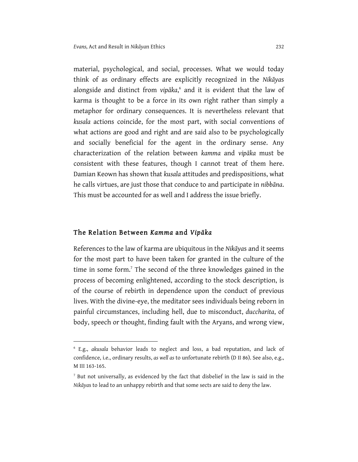material, psychological, and social, processes. What we would today think of as ordinary effects are explicitly recognized in the *Nikāya*s alongside and distinct from *vipāka*, <sup>6</sup> and it is evident that the law of karma is thought to be a force in its own right rather than simply a metaphor for ordinary consequences. It is nevertheless relevant that *kusala* actions coincide, for the most part, with social conventions of what actions are good and right and are said also to be psychologically and socially beneficial for the agent in the ordinary sense. Any characterization of the relation between *kamma* and *vipāka* must be consistent with these features, though I cannot treat of them here. Damian Keown has shown that *kusala* attitudes and predispositions, what he calls virtues, are just those that conduce to and participate in *nibbāna*. This must be accounted for as well and I address the issue briefly.

#### The Relation Between *Kamma* and *Vipāka*

1

References to the law of karma are ubiquitous in the *Nikāya*s and it seems for the most part to have been taken for granted in the culture of the time in some form.<sup>7</sup> The second of the three knowledges gained in the process of becoming enlightened, according to the stock description, is of the course of rebirth in dependence upon the conduct of previous lives. With the divine-eye, the meditator sees individuals being reborn in painful circumstances, including hell, due to misconduct, *duccharita*, of body, speech or thought, finding fault with the Aryans, and wrong view,

<sup>6</sup> E.g., *akusala* behavior leads to neglect and loss, a bad reputation, and lack of confidence, i.e., ordinary results, *as well as* to unfortunate rebirth (D II 86). See also, e.g., M III 163-165.

<sup>7</sup> But not universally, as evidenced by the fact that disbelief in the law is said in the *Nikāya*s to lead to an unhappy rebirth and that some sects are said to deny the law.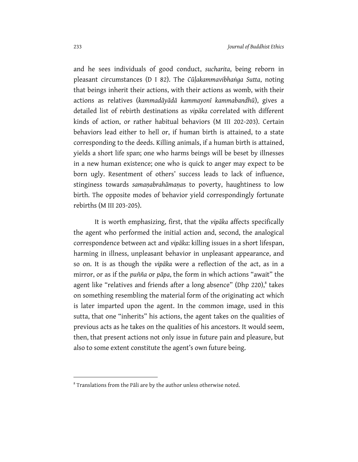and he sees individuals of good conduct, *sucharita*, being reborn in pleasant circumstances (D I 82). The *Cūḷakammavibhaṅga Sutta*, noting that beings inherit their actions, with their actions as womb, with their actions as relatives (*kammadāyādā kammayonī kammabandhū*), gives a detailed list of rebirth destinations as *vipāka* correlated with different kinds of action, or rather habitual behaviors (M III 202-203). Certain behaviors lead either to hell or, if human birth is attained, to a state corresponding to the deeds. Killing animals, if a human birth is attained, yields a short life span; one who harms beings will be beset by illnesses in a new human existence; one who is quick to anger may expect to be born ugly. Resentment of others' success leads to lack of influence, stinginess towards *samaṇabrahāmaṇa*s to poverty, haughtiness to low birth. The opposite modes of behavior yield correspondingly fortunate rebirths (M III 203-205).

It is worth emphasizing, first, that the *vipāka* affects specifically the agent who performed the initial action and, second, the analogical correspondence between act and *vipāka*: killing issues in a short lifespan, harming in illness, unpleasant behavior in unpleasant appearance, and so on. It is as though the *vipāka* were a reflection of the act, as in a mirror, or as if the *puñña* or *pāpa*, the form in which actions "await" the agent like "relatives and friends after a long absence" (Dhp  $220$ ), takes on something resembling the material form of the originating act which is later imparted upon the agent. In the common image, used in this sutta, that one "inherits" his actions, the agent takes on the qualities of previous acts as he takes on the qualities of his ancestors. It would seem, then, that present actions not only issue in future pain and pleasure, but also to some extent constitute the agent's own future being.

<sup>&</sup>lt;sup>8</sup> Translations from the Pāli are by the author unless otherwise noted.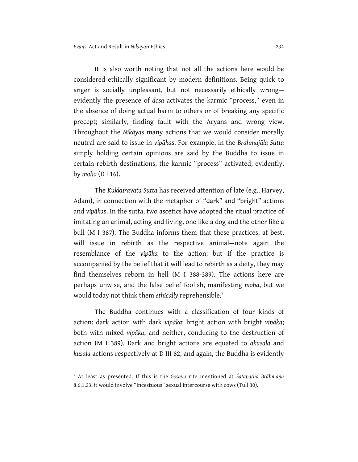It is also worth noting that not all the actions here would be considered ethically significant by modern definitions. Being quick to anger is socially unpleasant, but not necessarily ethically wrong evidently the presence of *dosa* activates the karmic "process," even in the absence of doing actual harm to others or of breaking any specific precept; similarly, finding fault with the Aryans and wrong view. Throughout the *Nikāya*s many actions that we would consider morally neutral are said to issue in *vipāka*s. For example, in the *Brahmajāla Sutta*  simply holding certain opinions are said by the Buddha to issue in certain rebirth destinations, the karmic "process" activated, evidently, by *moha* (D I 16).

The *Kukkuravata Sutta* has received attention of late (e.g., Harvey, Adam), in connection with the metaphor of "dark" and "bright" actions and *vipāka*s. In the sutta, two ascetics have adopted the ritual practice of imitating an animal, acting and living, one like a dog and the other like a bull (M I 387). The Buddha informs them that these practices, at best, will issue in rebirth as the respective animal—note again the resemblance of the *vipāka* to the action; but if the practice is accompanied by the belief that it will lead to rebirth as a deity, they may find themselves reborn in hell (M I 388-389). The actions here are perhaps unwise, and the false belief foolish, manifesting *moha*, but we would today not think them ethically reprehensible.<sup>9</sup>

The Buddha continues with a classification of four kinds of action: dark action with dark *vipāka*; bright action with bright *vipāka*; both with mixed *vipāka*; and neither, conducing to the destruction of action (M I 389). Dark and bright actions are equated to *akusala* and *kusala* actions respectively at D III 82, and again, the Buddha is evidently

<sup>9</sup> At least as presented. If this is the *Gosava* rite mentioned at *Śatapatha Brāhmaṇa* 8.6.1.23, it would involve "incestuous" sexual intercourse with cows (Tull 30).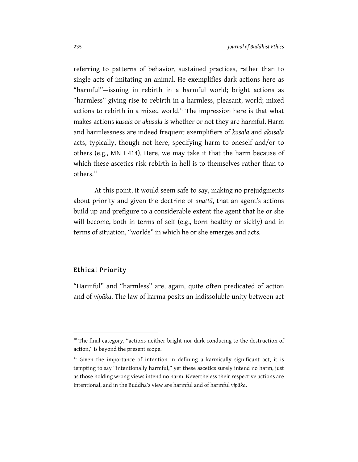referring to patterns of behavior, sustained practices, rather than to single acts of imitating an animal. He exemplifies dark actions here as "harmful"—issuing in rebirth in a harmful world; bright actions as "harmless" giving rise to rebirth in a harmless, pleasant, world; mixed actions to rebirth in a mixed world.<sup>10</sup> The impression here is that what makes actions *kusala* or *akusala* is whether or not they are harmful. Harm and harmlessness are indeed frequent exemplifiers of *kusala* and *akusala* acts, typically, though not here, specifying harm to oneself and/or to others (e.g., MN I 414). Here, we may take it that the harm because of which these ascetics risk rebirth in hell is to themselves rather than to others.<sup>11</sup>

At this point, it would seem safe to say, making no prejudgments about priority and given the doctrine of *anattā*, that an agent's actions build up and prefigure to a considerable extent the agent that he or she will become, both in terms of self (e.g., born healthy or sickly) and in terms of situation, "worlds" in which he or she emerges and acts.

#### Ethical Priority

1

"Harmful" and "harmless" are, again, quite often predicated of action and of *vipāka*. The law of karma posits an indissoluble unity between act

 $10$  The final category, "actions neither bright nor dark conducing to the destruction of action," is beyond the present scope.

 $11$  Given the importance of intention in defining a karmically significant act, it is tempting to say "intentionally harmful," yet these ascetics surely intend no harm, just as those holding wrong views intend no harm. Nevertheless their respective actions are intentional, and in the Buddha's view are harmful and of harmful *vipāka*.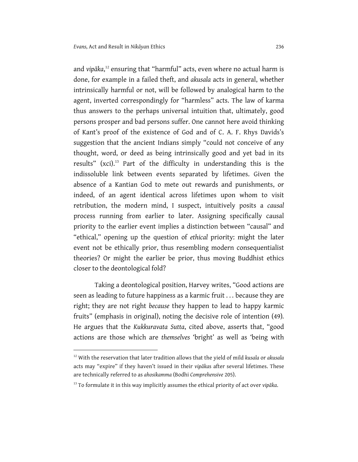1

and *vipāka*, <sup>12</sup> ensuring that "harmful" acts, even where no actual harm is done, for example in a failed theft, and *akusala* acts in general, whether intrinsically harmful or not, will be followed by analogical harm to the agent, inverted correspondingly for "harmless" acts. The law of karma thus answers to the perhaps universal intuition that, ultimately, good persons prosper and bad persons suffer. One cannot here avoid thinking of Kant's proof of the existence of God and of C. A. F. Rhys Davids's suggestion that the ancient Indians simply "could not conceive of any thought, word, or deed as being intrinsically good and yet bad in its results" (xci).<sup>13</sup> Part of the difficulty in understanding this is the indissoluble link between events separated by lifetimes. Given the absence of a Kantian God to mete out rewards and punishments, or indeed, of an agent identical across lifetimes upon whom to visit retribution, the modern mind, I suspect, intuitively posits a *causal* process running from earlier to later. Assigning specifically causal priority to the earlier event implies a distinction between "causal" and "ethical," opening up the question of *ethical* priority: might the later event not be ethically prior, thus resembling modern consequentialist theories? Or might the earlier be prior, thus moving Buddhist ethics closer to the deontological fold?

Taking a deontological position, Harvey writes, "Good actions are seen as leading to future happiness as a karmic fruit . . . because they are right; they are not right *because* they happen to lead to happy karmic fruits" (emphasis in original), noting the decisive role of intention (49). He argues that the *Kukkuravata Sutta*, cited above, asserts that, "good actions are those which are *themselves* 'bright' as well as 'being with

<sup>12</sup> With the reservation that later tradition allows that the yield of mild *kusala* or *akusala* acts may "expire" if they haven't issued in their *vipāka*s after several lifetimes. These are technically referred to as *ahosikamma* (Bodhi *Comprehensive* 205).

<sup>13</sup> To formulate it in this way implicitly assumes the ethical priority of act over *vipāka*.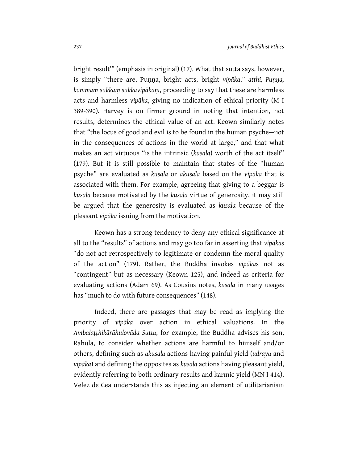bright result'" (emphasis in original) (17). What that sutta says, however, is simply "there are, Puṇṇa, bright acts, bright *vipāka*," *atthi, Puṇṇa, kammaṃ sukkaṃ sukkavipākaṃ*, proceeding to say that these are harmless acts and harmless *vipāka*, giving no indication of ethical priority (M I 389-390). Harvey is on firmer ground in noting that intention, not results, determines the ethical value of an act. Keown similarly notes that "the locus of good and evil is to be found in the human psyche—not in the consequences of actions in the world at large," and that what makes an act virtuous "is the intrinsic (*kusala*) worth of the act itself" (179). But it is still possible to maintain that states of the "human psyche" are evaluated as *kusala* or *akusala* based on the *vipāka* that is associated with them. For example, agreeing that giving to a beggar is *kusala* because motivated by the *kusala* virtue of generosity, it may still be argued that the generosity is evaluated as *kusala* because of the pleasant *vipāka* issuing from the motivation.

Keown has a strong tendency to deny any ethical significance at all to the "results" of actions and may go too far in asserting that *vipākas* "do not act retrospectively to legitimate or condemn the moral quality of the action" (179). Rather, the Buddha invokes *vipāka*s not as "contingent" but as necessary (Keown 125), and indeed as criteria for evaluating actions (Adam 69). As Cousins notes, *kusala* in many usages has "much to do with future consequences" (148).

Indeed, there are passages that may be read as implying the priority of *vipāka* over action in ethical valuations. In the *Ambalaṭṭhikārāhulovāda Sutta*, for example, the Buddha advises his son, Rāhula, to consider whether actions are harmful to himself and/or others, defining such as *akusala* actions having painful yield (*udraya* and *vipāka*) and defining the opposites as *kusala* actions having pleasant yield, evidently referring to both ordinary results and karmic yield (MN I 414). Velez de Cea understands this as injecting an element of utilitarianism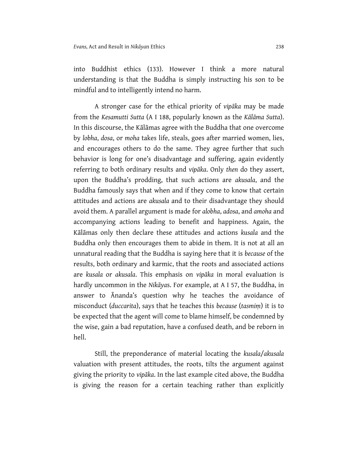into Buddhist ethics (133). However I think a more natural understanding is that the Buddha is simply instructing his son to be mindful and to intelligently intend no harm.

A stronger case for the ethical priority of *vipāka* may be made from the *Kesamutti Sutta* (A I 188, popularly known as the *Kālāma Sutta*). In this discourse, the Kālāmas agree with the Buddha that one overcome by *lobha*, *dosa*, or *moha* takes life, steals, goes after married women, lies, and encourages others to do the same. They agree further that such behavior is long for one's disadvantage and suffering, again evidently referring to both ordinary results and *vipāka*. Only *then* do they assert, upon the Buddha's prodding, that such actions are *akusala*, and the Buddha famously says that when and if they come to know that certain attitudes and actions are *akusala* and to their disadvantage they should avoid them. A parallel argument is made for *alobha*, *adosa*, and *amoha* and accompanying actions leading to benefit and happiness. Again, the Kālāmas only then declare these attitudes and actions *kusala* and the Buddha only then encourages them to abide in them. It is not at all an unnatural reading that the Buddha is saying here that it is *because* of the results, both ordinary and karmic, that the roots and associated actions are *kusala* or *akusala*. This emphasis on *vipāka* in moral evaluation is hardly uncommon in the *Nikāya*s. For example, at A I 57, the Buddha, in answer to Ānanda's question why he teaches the avoidance of misconduct (*duccarita*), says that he teaches this *because* (*tasmiṃ*) it is to be expected that the agent will come to blame himself, be condemned by the wise, gain a bad reputation, have a confused death, and be reborn in hell.

Still, the preponderance of material locating the *kusala*/*akusala* valuation with present attitudes, the roots, tilts the argument against giving the priority to *vipāka*. In the last example cited above, the Buddha is giving the reason for a certain teaching rather than explicitly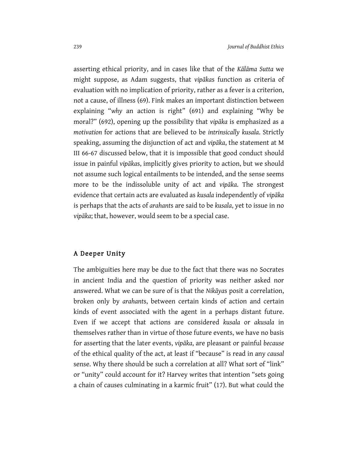asserting ethical priority, and in cases like that of the *Kālāma Sutta* we might suppose, as Adam suggests, that *vipāka*s function as criteria of evaluation with no implication of priority, rather as a fever is a criterion, not a cause, of illness (69). Fink makes an important distinction between explaining "*why* an action is right" (691) and explaining "Why be moral?" (692), opening up the possibility that *vipāka* is emphasized as a *motivation* for actions that are believed to be *intrinsically kusala*. Strictly speaking, assuming the disjunction of act and *vipāka*, the statement at M III 66-67 discussed below, that it is impossible that good conduct should issue in painful *vipāka*s, implicitly gives priority to action, but we should not assume such logical entailments to be intended, and the sense seems more to be the indissoluble unity of act and *vipāka*. The strongest evidence that certain acts are evaluated as *kusala* independently of *vipāka* is perhaps that the acts of *arahant*s are said to be *kusala*, yet to issue in no *vipāka*; that, however, would seem to be a special case.

#### A Deeper Unity

The ambiguities here may be due to the fact that there was no Socrates in ancient India and the question of priority was neither asked nor answered. What we can be sure of is that the *Nikāya*s posit a correlation, broken only by *arahant*s, between certain kinds of action and certain kinds of event associated with the agent in a perhaps distant future. Even if we accept that actions are considered *kusala* or *akusala* in themselves rather than in virtue of those future events, we have no basis for asserting that the later events, *vipāka*, are pleasant or painful *because* of the ethical quality of the act, at least if "because" is read in any *causal* sense. Why there should be such a correlation at all? What sort of "link" or "unity" could account for it? Harvey writes that intention "sets going a chain of causes culminating in a karmic fruit" (17). But what could the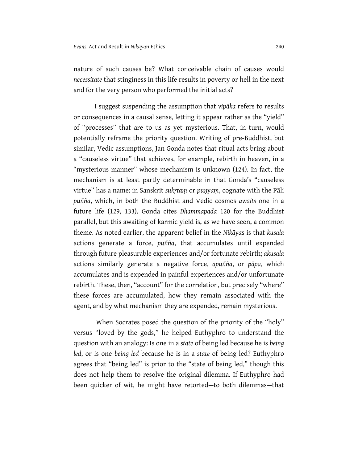nature of such causes be? What conceivable chain of causes would *necessitate* that stinginess in this life results in poverty or hell in the next and for the very person who performed the initial acts?

I suggest suspending the assumption that *vipāka* refers to results or consequences in a causal sense, letting it appear rather as the "yield" of "processes" that are to us as yet mysterious. That, in turn, would potentially reframe the priority question. Writing of pre-Buddhist, but similar, Vedic assumptions, Jan Gonda notes that ritual acts bring about a "causeless virtue" that achieves, for example, rebirth in heaven, in a "mysterious manner" whose mechanism is unknown (124). In fact, the mechanism is at least partly determinable in that Gonda's "causeless virtue" has a name: in Sanskrit *sukṛtaṃ* or *puṇyaṃ*, cognate with the Pāli *puñña*, which, in both the Buddhist and Vedic cosmos *awaits* one in a future life (129, 133). Gonda cites *Dhammapada* 120 for the Buddhist parallel, but this awaiting of karmic yield is, as we have seen, a common theme. As noted earlier, the apparent belief in the *Nikāya*s is that *kusala* actions generate a force, *puñña*, that accumulates until expended through future pleasurable experiences and/or fortunate rebirth; *akusala* actions similarly generate a negative force, *apuñña*, or *pāpa*, which accumulates and is expended in painful experiences and/or unfortunate rebirth. These, then, "account" for the correlation, but precisely "where" these forces are accumulated, how they remain associated with the agent, and by what mechanism they are expended, remain mysterious.

When Socrates posed the question of the priority of the "holy" versus "loved by the gods," he helped Euthyphro to understand the question with an analogy: Is one in a *state* of being led because he is *being led*, or is one *being led* because he is in a *state* of being led? Euthyphro agrees that "being led" is prior to the "state of being led," though this does not help them to resolve the original dilemma. If Euthyphro had been quicker of wit, he might have retorted—to both dilemmas—that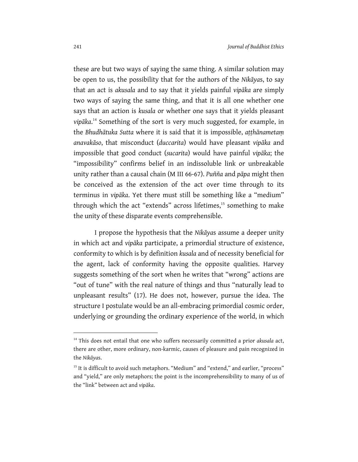these are but two ways of saying the same thing. A similar solution may be open to us, the possibility that for the authors of the *Nikāya*s, to say that an act is *akusala* and to say that it yields painful *vipāka* are simply two ways of saying the same thing, and that it is all one whether one says that an action is *kusala* or whether one says that it yields pleasant *vipāka*. <sup>14</sup> Something of the sort is very much suggested, for example, in the *Bhudhātuka Sutta* where it is said that it is impossible, *aṭṭhānametaṃ anavakāso*, that misconduct (*duccarita*) would have pleasant *vipāka* and impossible that good conduct (*sucarita*) would have painful *vipāka*; the "impossibility" confirms belief in an indissoluble link or unbreakable unity rather than a causal chain (M III 66-67). *Puñña* and *pāpa* might then be conceived as the extension of the act over time through to its terminus in *vipāka*. Yet there must still be something like a "medium" through which the act "extends" across lifetimes,<sup>15</sup> something to make the unity of these disparate events comprehensible.

I propose the hypothesis that the *Nikāya*s assume a deeper unity in which act and *vipāka* participate, a primordial structure of existence, conformity to which is by definition *kusala* and of necessity beneficial for the agent, lack of conformity having the opposite qualities. Harvey suggests something of the sort when he writes that "wrong" actions are "out of tune" with the real nature of things and thus "naturally lead to unpleasant results" (17). He does not, however, pursue the idea. The structure I postulate would be an all-embracing primordial cosmic order, underlying or grounding the ordinary experience of the world, in which

<sup>&</sup>lt;sup>14</sup> This does not entail that one who suffers necessarily committed a prior *akusala* act, there are other, more ordinary, non-karmic, causes of pleasure and pain recognized in the *Nikāya*s.

<sup>&</sup>lt;sup>15</sup> It is difficult to avoid such metaphors. "Medium" and "extend," and earlier, "process" and "yield," are only metaphors; the point is the incomprehensibility to many of us of the "link" between act and *vipāka*.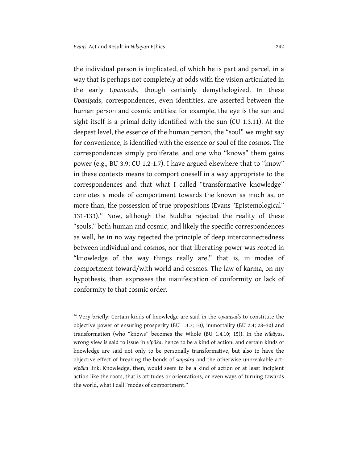<u>.</u>

the individual person is implicated, of which he is part and parcel, in a way that is perhaps not completely at odds with the vision articulated in the early *Upaniṣad*s, though certainly demythologized. In these *Upaniṣad*s, correspondences, even identities, are asserted between the human person and cosmic entities: for example, the eye is the sun and sight itself is a primal deity identified with the sun (CU 1.3.11). At the deepest level, the essence of the human person, the "soul" we might say for convenience, is identified with the essence or soul of the cosmos. The correspondences simply proliferate, and one who "knows" them gains power (e.g., BU 3.9; CU 1.2-1.7). I have argued elsewhere that to "know" in these contexts means to comport oneself in a way appropriate to the correspondences and that what I called "transformative knowledge" connotes a mode of comportment towards the known as much as, or more than, the possession of true propositions (Evans "Epistemological" 131-133).<sup>16</sup> Now, although the Buddha rejected the reality of these "souls," both human and cosmic, and likely the specific correspondences as well, he in no way rejected the principle of deep interconnectedness between individual and cosmos, nor that liberating power was rooted in "knowledge of the way things really are," that is, in modes of comportment toward/with world and cosmos. The law of karma, on my hypothesis, then expresses the manifestation of conformity or lack of conformity to that cosmic order.

<sup>16</sup> Very briefly: Certain kinds of knowledge are said in the *Upaniṣad*s to constitute the objective power of ensuring prosperity (BU 1.3.7; 10), immortality (BU 2.4; 28–30) and transformation (who "knows" becomes the Whole (BU 1.4.10; 15)). In the *Nikāya*s, wrong view is said to issue in *vipāka*, hence to be a kind of action, and certain kinds of knowledge are said not only to be personally transformative, but also to have the objective effect of breaking the bonds of *saṃsāra* and the otherwise unbreakable act*vipāka* link. Knowledge, then, would seem to be a kind of action or at least incipient action like the roots, that is attitudes or orientations, or even ways of turning towards the world, what I call "modes of comportment."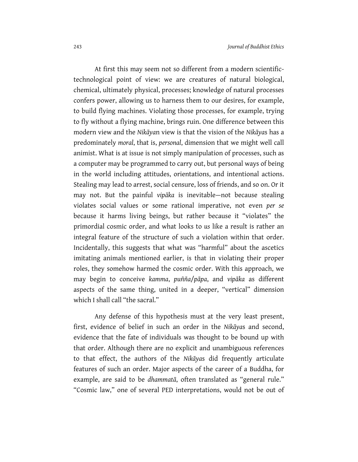At first this may seem not so different from a modern scientifictechnological point of view: we are creatures of natural biological, chemical, ultimately physical, processes; knowledge of natural processes confers power, allowing us to harness them to our desires, for example, to build flying machines. Violating those processes, for example, trying to fly without a flying machine, brings ruin. One difference between this modern view and the *Nikāya*n view is that the vision of the *Nikāya*s has a predominately *moral*, that is, *personal*, dimension that we might well call animist. What is at issue is not simply manipulation of processes, such as a computer may be programmed to carry out, but personal ways of being in the world including attitudes, orientations, and intentional actions. Stealing may lead to arrest, social censure, loss of friends, and so on. Or it may not. But the painful *vipāka* is inevitable—not because stealing violates social values or some rational imperative, not even *per se*  because it harms living beings, but rather because it "violates" the primordial cosmic order, and what looks to *us* like a result is rather an integral feature of the structure of such a violation within that order. Incidentally, this suggests that what was "harmful" about the ascetics imitating animals mentioned earlier, is that in violating their proper roles, they somehow harmed the cosmic order. With this approach, we may begin to conceive *kamma*, *puñña*/*pāpa*, and *vipāka* as different aspects of the same thing, united in a deeper, "vertical" dimension which I shall call "the sacral."

Any defense of this hypothesis must at the very least present, first, evidence of belief in such an order in the *Nikāya*s and second, evidence that the fate of individuals was thought to be bound up with that order. Although there are no explicit and unambiguous references to that effect, the authors of the *Nikāya*s did frequently articulate features of such an order. Major aspects of the career of a Buddha, for example, are said to be *dhammatā*, often translated as "general rule." "Cosmic law," one of several PED interpretations, would not be out of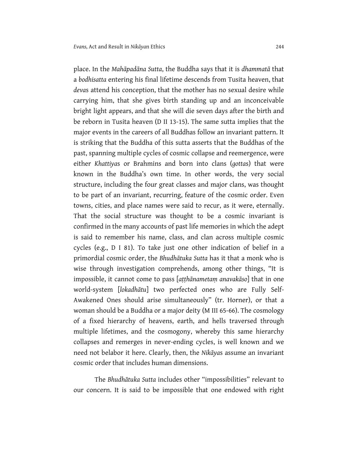place. In the *Mahāpadāna Sutta*, the Buddha says that it is *dhammatā* that a *bodhisatta* entering his final lifetime descends from Tusita heaven, that *deva*s attend his conception, that the mother has no sexual desire while carrying him, that she gives birth standing up and an inconceivable bright light appears, and that she will die seven days after the birth and be reborn in Tusita heaven (D II 13-15). The same sutta implies that the major events in the careers of all Buddhas follow an invariant pattern. It is striking that the Buddha of this sutta asserts that the Buddhas of the past, spanning multiple cycles of cosmic collapse and reemergence, were either *Khattiya*s or Brahmins and born into clans (*gotta*s) that were known in the Buddha's own time. In other words, the very social structure, including the four great classes and major clans, was thought to be part of an invariant, recurring, feature of the cosmic order. Even towns, cities, and place names were said to recur, as it were, eternally. That the social structure was thought to be a cosmic invariant is confirmed in the many accounts of past life memories in which the adept is said to remember his name, class, and clan across multiple cosmic cycles (e.g., D I 81). To take just one other indication of belief in a primordial cosmic order, the *Bhudhātuka Sutta* has it that a monk who is wise through investigation comprehends, among other things, "It is impossible, it cannot come to pass [*aṭṭhānametaṃ anavakāso*] that in one world-system [*lokadhātu*] two perfected ones who are Fully Self-Awakened Ones should arise simultaneously" (tr. Horner), or that a woman should be a Buddha or a major deity (M III 65-66). The cosmology of a fixed hierarchy of heavens, earth, and hells traversed through multiple lifetimes, and the cosmogony, whereby this same hierarchy collapses and remerges in never-ending cycles, is well known and we need not belabor it here. Clearly, then, the *Nikāya*s assume an invariant cosmic order that includes human dimensions.

The *Bhudhātuka Sutta* includes other "impossibilities" relevant to our concern. It is said to be impossible that one endowed with right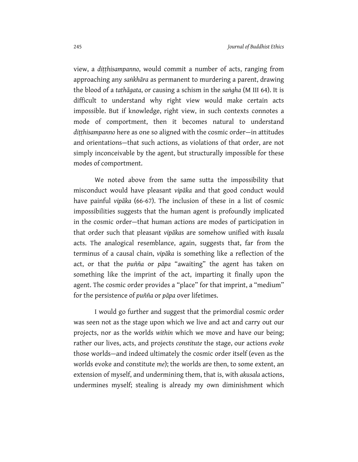view, a *diṭṭhisampanno*, would commit a number of acts, ranging from approaching any *saṅkhāra* as permanent to murdering a parent, drawing the blood of a *tathāgata*, or causing a schism in the *saṅgha* (M III 64). It is difficult to understand why right view would make certain acts impossible. But if knowledge, right view, in such contexts connotes a mode of comportment, then it becomes natural to understand *diṭṭhisampanno* here as one so aligned with the cosmic order—in attitudes and orientations—that such actions, as violations of that order, are not simply inconceivable by the agent, but structurally impossible for these modes of comportment.

We noted above from the same sutta the impossibility that misconduct would have pleasant *vipāka* and that good conduct would have painful *vipāka* (66-67). The inclusion of these in a list of cosmic impossibilities suggests that the human agent is profoundly implicated in the cosmic order—that human actions are modes of participation in that order such that pleasant *vipāka*s are somehow unified with *kusala*  acts. The analogical resemblance, again, suggests that, far from the terminus of a causal chain, *vipāka* is something like a reflection of the act, or that the *puñña* or *pāpa* "awaiting" the agent has taken on something like the imprint of the act, imparting it finally upon the agent. The cosmic order provides a "place" for that imprint, a "medium" for the persistence of *puñña* or *pāpa* over lifetimes.

I would go further and suggest that the primordial cosmic order was seen not as the stage upon which we live and act and carry out our projects, nor as the worlds *within* which we move and have our being; rather our lives, acts, and projects *constitute* the stage, our actions *evoke* those worlds—and indeed ultimately the cosmic order itself (even as the worlds evoke and constitute *me*); the worlds are then, to some extent, an extension of myself, and undermining them, that is, with *akusala* actions, undermines myself; stealing is already my own diminishment which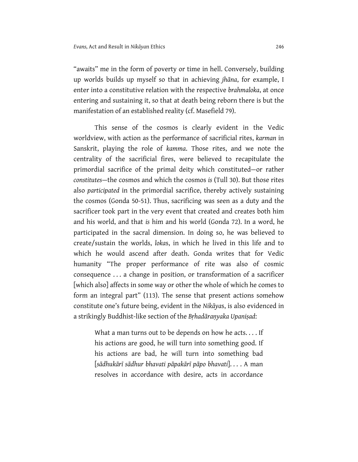"awaits" me in the form of poverty or time in hell. Conversely, building up worlds builds up myself so that in achieving *jhāna*, for example, I enter into a constitutive relation with the respective *brahmaloka*, at once entering and sustaining it, so that at death being reborn there is but the manifestation of an established reality (cf. Masefield 79).

This sense of the cosmos is clearly evident in the Vedic worldview, with action as the performance of sacrificial rites, *karman* in Sanskrit, playing the role of *kamma*. Those rites, and we note the centrality of the sacrificial fires, were believed to recapitulate the primordial sacrifice of the primal deity which constituted—or rather *constitutes*—the cosmos and which the cosmos *is* (Tull 30). But those rites also *participated* in the primordial sacrifice, thereby actively sustaining the cosmos (Gonda 50-51). Thus, sacrificing was seen as a duty and the sacrificer took part in the very event that created and creates both him and his world, and that *is* him and his world (Gonda 72). In a word, he participated in the sacral dimension. In doing so, he was believed to create/sustain the worlds, *loka*s, in which he lived in this life and to which he would ascend after death. Gonda writes that for Vedic humanity "The proper performance of rite was also of cosmic consequence . . . a change in position, or transformation of a sacrificer [which also] affects in some way or other the whole of which he comes to form an integral part" (113). The sense that present actions somehow constitute one's future being, evident in the *Nikāya*s, is also evidenced in a strikingly Buddhist-like section of the *Bṛhadāraṇyaka Upaniṣad*:

> What a man turns out to be depends on how he acts. . . . If his actions are good, he will turn into something good. If his actions are bad, he will turn into something bad [*sādhukārī sādhur bhavati pāpakārī pāpo bhavati*]. . . . A man resolves in accordance with desire, acts in accordance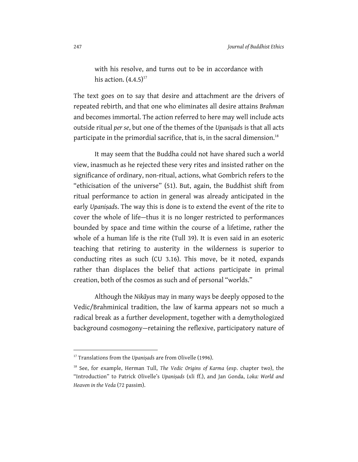with his resolve, and turns out to be in accordance with his action.  $(4.4.5)^{17}$ 

The text goes on to say that desire and attachment are the drivers of repeated rebirth, and that one who eliminates all desire attains *Brahman*  and becomes immortal. The action referred to here may well include acts outside ritual *per se*, but one of the themes of the *Upaniṣad*s is that all acts participate in the primordial sacrifice, that is, in the sacral dimension.<sup>18</sup>

It may seem that the Buddha could not have shared such a world view, inasmuch as he rejected these very rites and insisted rather on the significance of ordinary, non-ritual, actions, what Gombrich refers to the "ethicisation of the universe" (51). But, again, the Buddhist shift from ritual performance to action in general was already anticipated in the early *Upaniṣad*s. The way this is done is to extend the event of the rite to cover the whole of life—thus it is no longer restricted to performances bounded by space and time within the course of a lifetime, rather the whole of a human life is the rite (Tull 39). It is even said in an esoteric teaching that retiring to austerity in the wilderness is superior to conducting rites as such (CU 3.16). This move, be it noted, expands rather than displaces the belief that actions participate in primal creation, both of the cosmos as such and of personal "worlds."

Although the *Nikāya*s may in many ways be deeply opposed to the Vedic/Brahminical tradition, the law of karma appears not so much a radical break as a further development, together with a demythologized background cosmogony—retaining the reflexive, participatory nature of

<sup>&</sup>lt;sup>17</sup> Translations from the *Upanisads* are from Olivelle (1996).

<sup>18</sup> See, for example, Herman Tull, *The Vedic Origins of Karma* (esp. chapter two), the "Introduction" to Patrick Olivelle's *Upaniṣads* (xli ff.), and Jan Gonda, *Loka: World and Heaven in the Veda* (72 passim).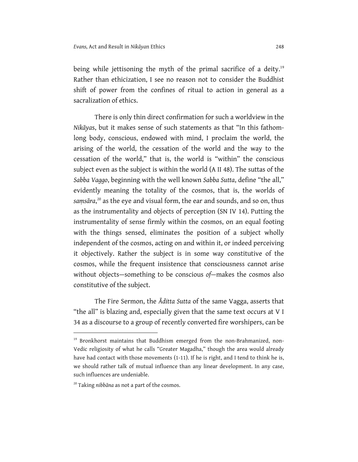being while jettisoning the myth of the primal sacrifice of a deity.<sup>19</sup> Rather than ethicization, I see no reason not to consider the Buddhist shift of power from the confines of ritual to action in general as a sacralization of ethics.

There is only thin direct confirmation for such a worldview in the *Nikāya*s, but it makes sense of such statements as that "In this fathomlong body, conscious, endowed with mind, I proclaim the world, the arising of the world, the cessation of the world and the way to the cessation of the world," that is, the world is "within" the conscious subject even as the subject is within the world (A II 48). The suttas of the *Sabba Vaggo*, beginning with the well known *Sabba Sutta*, define "the all," evidently meaning the totality of the cosmos, that is, the worlds of *saṃsāra*, <sup>20</sup> as the eye and visual form, the ear and sounds, and so on, thus as the instrumentality and objects of perception (SN IV 14). Putting the instrumentality of sense firmly within the cosmos, on an equal footing with the things sensed, eliminates the position of a subject wholly independent of the cosmos, acting on and within it, or indeed perceiving it objectively. Rather the subject is in some way constitutive of the cosmos, while the frequent insistence that consciousness cannot arise without objects—something to be conscious *of*—makes the cosmos also constitutive of the subject.

The Fire Sermon, the *Āditta Sutta* of the same Vagga, asserts that "the all" is blazing and, especially given that the same text occurs at V I 34 as a discourse to a group of recently converted fire worshipers, can be

<sup>&</sup>lt;sup>19</sup> Bronkhorst maintains that Buddhism emerged from the non-Brahmanized, non-Vedic religiosity of what he calls "Greater Magadha," though the area would already have had contact with those movements (1-11). If he is right, and I tend to think he is, we should rather talk of mutual influence than any linear development. In any case, such influences are undeniable.

<sup>20</sup> Taking *nibbāna* as not a part of the cosmos.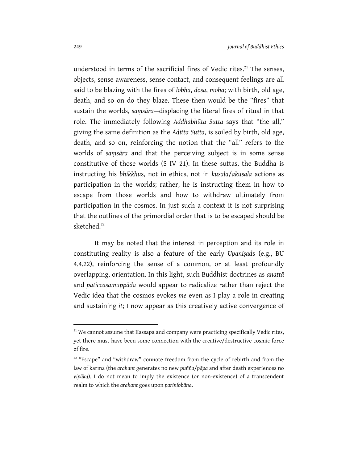understood in terms of the sacrificial fires of Vedic rites.<sup>21</sup> The senses, objects, sense awareness, sense contact, and consequent feelings are all said to be blazing with the fires of *lobha*, *dosa*, *moha*; with birth, old age, death, and so on do they blaze. These then would be the "fires" that sustain the worlds, *saṃsāra*—displacing the literal fires of ritual in that role. The immediately following *Addhabhūta Sutta* says that "the all," giving the same definition as the *Āditta Sutta*, is soiled by birth, old age, death, and so on, reinforcing the notion that the "all" refers to the worlds of *saṃsāra* and that the perceiving subject is in some sense constitutive of those worlds (S IV 21). In these suttas, the Buddha is instructing his *bhikkhu*s, not in ethics, not in *kusala*/*akusala* actions as participation in the worlds; rather, he is instructing them in how to escape from those worlds and how to withdraw ultimately from participation in the cosmos. In just such a context it is not surprising that the outlines of the primordial order that is to be escaped should be sketched.<sup>22</sup>

It may be noted that the interest in perception and its role in constituting reality is also a feature of the early *Upaniṣad*s (e.g., BU 4.4.22), reinforcing the sense of a common, or at least profoundly overlapping, orientation. In this light, such Buddhist doctrines as *anattā* and *paticcasamuppāda* would appear to radicalize rather than reject the Vedic idea that the cosmos evokes *me* even as I play a role in creating and sustaining *it*; I now appear as this creatively active convergence of

 $21$  We cannot assume that Kassapa and company were practicing specifically Vedic rites, yet there must have been some connection with the creative/destructive cosmic force of fire.

<sup>&</sup>lt;sup>22</sup> "Escape" and "withdraw" connote freedom from the cycle of rebirth and from the law of karma (the *arahant* generates no new *puñña*/*pāpa* and after death experiences no *vipāka*). I do not mean to imply the existence (or non-existence) of a transcendent realm to which the *arahant* goes upon *parinibbāna*.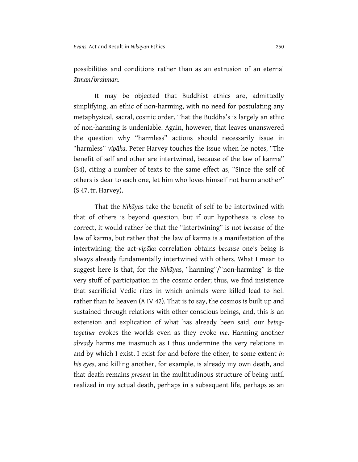possibilities and conditions rather than as an extrusion of an eternal *ātman*/*brahman*.

It may be objected that Buddhist ethics are, admittedly simplifying, an ethic of non-harming, with no need for postulating any metaphysical, sacral, cosmic order. That the Buddha's is largely an ethic of non-harming is undeniable. Again, however, that leaves unanswered the question why "harmless" actions should necessarily issue in "harmless" *vipāka*. Peter Harvey touches the issue when he notes, "The benefit of self and other are intertwined, because of the law of karma" (34), citing a number of texts to the same effect as, "Since the self of others is dear to each one, let him who loves himself not harm another" (S 47, tr. Harvey).

That the *Nikāya*s take the benefit of self to be intertwined with that of others is beyond question, but if our hypothesis is close to correct, it would rather be that the "intertwining" is not *because* of the law of karma, but rather that the law of karma is a manifestation of the intertwining; the act-*vipāka* correlation obtains *because* one's being is always already fundamentally intertwined with others. What I mean to suggest here is that, for the *Nikāya*s, "harming"/"non-harming" is the very stuff of participation in the cosmic order; thus, we find insistence that sacrificial Vedic rites in which animals were killed lead to hell rather than to heaven (A IV 42). That is to say, the cosmos is built up and sustained through relations with other conscious beings, and, this is an extension and explication of what has already been said, our *beingtogether* evokes the worlds even as they evoke *me*. Harming another *already* harms me inasmuch as I thus undermine the very relations in and by which I exist. I exist for and before the other, to some extent *in his eyes*, and killing another, for example, is already my own death, and that death remains *present* in the multitudinous structure of being until realized in my actual death, perhaps in a subsequent life, perhaps as an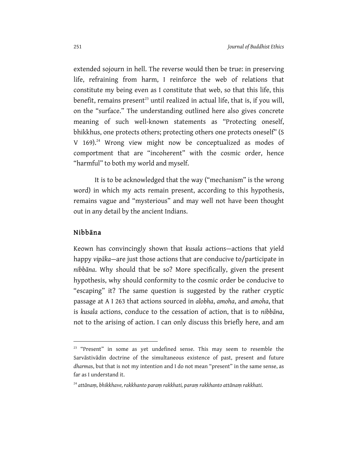extended sojourn in hell. The reverse would then be true: in preserving life, refraining from harm, I reinforce the web of relations that constitute my being even as I constitute that web, so that this life, this benefit, remains present<sup>23</sup> until realized in actual life, that is, if you will, on the "surface." The understanding outlined here also gives concrete meaning of such well-known statements as "Protecting oneself, bhikkhus, one protects others; protecting others one protects oneself" (S V 169).<sup>24</sup> Wrong view might now be conceptualized as modes of comportment that are "incoherent" with the cosmic order, hence "harmful" to both my world and myself.

It is to be acknowledged that the way ("mechanism" is the wrong word) in which my acts remain present, according to this hypothesis, remains vague and "mysterious" and may well not have been thought out in any detail by the ancient Indians.

#### Nibbāna

1

Keown has convincingly shown that *kusala* actions—actions that yield happy *vipāka*—are just those actions that are conducive to/participate in *nibbāna*. Why should that be so? More specifically, given the present hypothesis, why should conformity to the cosmic order be conducive to "escaping" it? The same question is suggested by the rather cryptic passage at A I 263 that actions sourced in *alobha*, *amoha*, and *amoha*, that is *kusala* actions, conduce to the cessation of action, that is to *nibbāna*, not to the arising of action. I can only discuss this briefly here, and am

<sup>&</sup>lt;sup>23</sup> "Present" in some as yet undefined sense. This may seem to resemble the Sarvāstivādin doctrine of the simultaneous existence of past, present and future *dharma*s, but that is not my intention and I do not mean "present" in the same sense, as far as I understand it.

<sup>24</sup> *attānaṃ, bhikkhave, rakkhanto paraṃ rakkhati, paraṃ rakkhanto attānaṃ rakkhati*.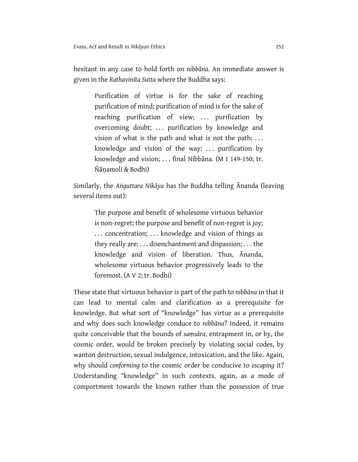hesitant in any case to hold forth on *nibbāna*. An immediate answer is given in the *Rathavinīta Sutta* where the Buddha says:

Purification of virtue is for the sake of reaching purification of mind; purification of mind is for the sake of reaching purification of view; ... purification by overcoming doubt; ... purification by knowledge and vision of what is the path and what is not the path; ... knowledge and vision of the way;  $\ldots$  purification by knowledge and vision; . . . final Nibbāna. (M I 149-150; tr. Ñāṇamoli & Bodhi)

Similarly, the *Aṅguttara Nikāya* has the Buddha telling Ānanda (leaving several items out):

The purpose and benefit of wholesome virtuous behavior is non-regret; the purpose and benefit of non-regret is joy; ... concentration; ... knowledge and vision of things as they really are; . . . disenchantment and dispassion; . . . the knowledge and vision of liberation. Thus, Ānanda, wholesome virtuous behavior progressively leads to the foremost. (A V 2; tr. Bodhi)

These state that virtuous behavior is part of the path to *nibbāna* in that it can lead to mental calm and clarification as a prerequisite for knowledge. But what sort of "knowledge" has virtue as a prerequisite and why does such knowledge conduce to *nibbāna*? Indeed, it remains quite conceivable that the bounds of *saṃsāra*, entrapment in, or by, the cosmic order, would be broken precisely by violating social codes, by wanton destruction, sexual indulgence, intoxication, and the like. Again, why should *conforming* to the cosmic order be conducive to *escaping* it? Understanding "knowledge" in such contexts, again, as a mode of comportment towards the known rather than the possession of true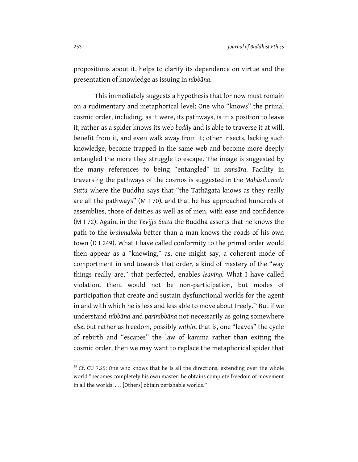propositions about it, helps to clarify its dependence on virtue and the presentation of knowledge as issuing in *nibbāna*.

This immediately suggests a hypothesis that for now must remain on a rudimentary and metaphorical level: One who "knows" the primal cosmic order, including, as it were, its pathways, is in a position to leave it, rather as a spider knows its web *bodily* and is able to traverse it at will, benefit from it, and even walk away from it; other insects, lacking such knowledge, become trapped in the same web and become more deeply entangled the more they struggle to escape. The image is suggested by the many references to being "entangled" in *saṃsāra*. Facility in traversing the pathways of the cosmos is suggested in the *Mahāsihanada Sutta* where the Buddha says that "the Tathāgata knows as they really are all the pathways" (M I 70), and that he has approached hundreds of assemblies, those of deities as well as of men, with ease and confidence (M I 72). Again, in the *Tevijja Sutta* the Buddha asserts that he knows the path to the *brahmaloka* better than a man knows the roads of his own town (D I 249). What I have called conformity to the primal order would then appear as a "knowing," as, one might say, a coherent mode of comportment in and towards that order, a kind of mastery of the "way things really are," that perfected, enables *leaving*. What I have called violation, then, would not be non-participation, but modes of participation that create and sustain dysfunctional worlds for the agent in and with which he is less and less able to move about freely.<sup>25</sup> But if we understand *nibbāna* and *parinibbāna* not necessarily as going somewhere *else*, but rather as freedom, possibly *within*, that is, one "leaves" the cycle of rebirth and "escapes" the law of kamma rather than exiting the cosmic order, then we may want to replace the metaphorical spider that

 $25$  Cf. CU 7.25: One who knows that he is all the directions, extending over the whole world "becomes completely his own master; he obtains complete freedom of movement in all the worlds. . . . [Others] obtain perishable worlds."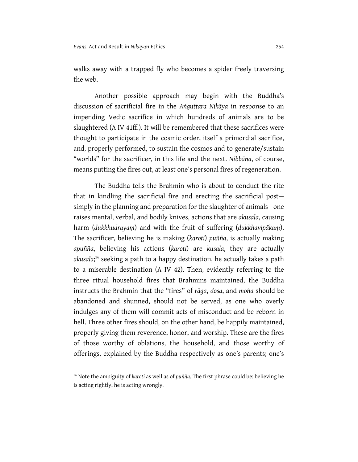walks away with a trapped fly who becomes a spider freely traversing the web.

Another possible approach may begin with the Buddha's discussion of sacrificial fire in the *Aṅguttara Nikāya* in response to an impending Vedic sacrifice in which hundreds of animals are to be slaughtered (A IV 41ff.). It will be remembered that these sacrifices were thought to participate in the cosmic order, itself a primordial sacrifice, and, properly performed, to sustain the cosmos and to generate/sustain "worlds" for the sacrificer, in this life and the next. *Nibbāna*, of course, means putting the fires out, at least one's personal fires of regeneration.

The Buddha tells the Brahmin who is about to conduct the rite that in kindling the sacrificial fire and erecting the sacrificial post simply in the planning and preparation for the slaughter of animals—one raises mental, verbal, and bodily knives, actions that are *akusala*, causing harm (*dukkhudrayaṃ*) and with the fruit of suffering (*dukkhavipākaṃ*). The sacrificer, believing he is making (*karoti*) *puñña*, is actually making *apuñña*, believing his actions (*karoti*) are *kusala*, they are actually *akusala*; <sup>26</sup> seeking a path to a happy destination, he actually takes a path to a miserable destination (A IV 42). Then, evidently referring to the three ritual household fires that Brahmins maintained, the Buddha instructs the Brahmin that the "fires" of *rāga*, *dosa*, and *moha* should be abandoned and shunned, should not be served, as one who overly indulges any of them will commit acts of misconduct and be reborn in hell. Three other fires should, on the other hand, be happily maintained, properly giving them reverence, honor, and worship. These are the fires of those worthy of oblations, the household, and those worthy of offerings, explained by the Buddha respectively as one's parents; one's

<sup>26</sup> Note the ambiguity of *karoti* as well as of *puñña*. The first phrase could be: believing he is acting rightly, he is acting wrongly.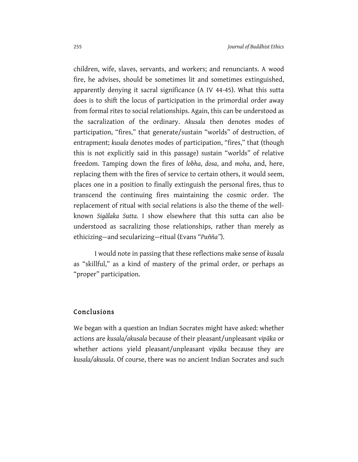children, wife, slaves, servants, and workers; and renunciants. A wood fire, he advises, should be sometimes lit and sometimes extinguished, apparently denying it sacral significance (A IV 44-45). What this sutta does is to shift the locus of participation in the primordial order away from formal rites to social relationships. Again, this can be understood as the sacralization of the ordinary. *Akusala* then denotes modes of participation, "fires," that generate/sustain "worlds" of destruction, of entrapment; *kusala* denotes modes of participation, "fires," that (though this is not explicitly said in this passage) sustain "worlds" of relative freedom. Tamping down the fires of *lobha*, *dosa*, and *moha*, and, here, replacing them with the fires of service to certain others, it would seem, places one in a position to finally extinguish the personal fires, thus to transcend the continuing fires maintaining the cosmic order. The replacement of ritual with social relations is also the theme of the wellknown *Sigālaka Sutta*. I show elsewhere that this sutta can also be understood as sacralizing those relationships, rather than merely as ethicizing—and secularizing—ritual (Evans "*Puñña"*).

I would note in passing that these reflections make sense of *kusala* as "skillful," as a kind of mastery of the primal order, or perhaps as "proper" participation.

#### Conclusions

We began with a question an Indian Socrates might have asked: whether actions are *kusala/akusala* because of their pleasant/unpleasant *vipāka* or whether actions yield pleasant/unpleasant *vipāka* because they are *kusala/akusala*. Of course, there was no ancient Indian Socrates and such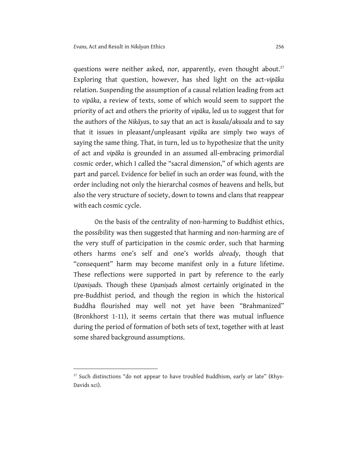questions were neither asked, nor, apparently, even thought about.<sup>27</sup> Exploring that question, however, has shed light on the act-*vipāka*  relation. Suspending the assumption of a causal relation leading from act to *vipāka*, a review of texts, some of which would seem to support the priority of act and others the priority of *vipāka*, led us to suggest that for the authors of the *Nikāya*s, to say that an act is *kusala*/*akusala* and to say that it issues in pleasant/unpleasant *vipāka* are simply two ways of saying the same thing. That, in turn, led us to hypothesize that the unity of act and *vipāka* is grounded in an assumed all-embracing primordial cosmic order, which I called the "sacral dimension," of which agents are part and parcel. Evidence for belief in such an order was found, with the order including not only the hierarchal cosmos of heavens and hells, but also the very structure of society, down to towns and clans that reappear with each cosmic cycle.

On the basis of the centrality of non-harming to Buddhist ethics, the possibility was then suggested that harming and non-harming are of the very stuff of participation in the cosmic order, such that harming others harms one's self and one's worlds *already*, though that "consequent" harm may become manifest only in a future lifetime. These reflections were supported in part by reference to the early *Upaniṣad*s. Though these *Upaniṣad*s almost certainly originated in the pre-Buddhist period, and though the region in which the historical Buddha flourished may well not yet have been "Brahmanized" (Bronkhorst 1-11), it seems certain that there was mutual influence during the period of formation of both sets of text, together with at least some shared background assumptions.

 $27$  Such distinctions "do not appear to have troubled Buddhism, early or late" (Rhys-Davids xci).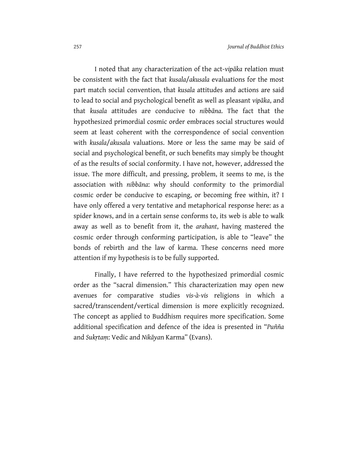I noted that any characterization of the act-*vipāka* relation must be consistent with the fact that *kusala*/*akusala* evaluations for the most part match social convention, that *kusala* attitudes and actions are said to lead to social and psychological benefit as well as pleasant *vipāka*, and that *kusala* attitudes are conducive to *nibbāna*. The fact that the hypothesized primordial cosmic order embraces social structures would seem at least coherent with the correspondence of social convention with *kusala*/*akusala* valuations. More or less the same may be said of social and psychological benefit, or such benefits may simply be thought of as the results of social conformity. I have not, however, addressed the issue. The more difficult, and pressing, problem, it seems to me, is the association with *nibbāna*: why should conformity to the primordial cosmic order be conducive to escaping, or becoming free within, it? I have only offered a very tentative and metaphorical response here: as a spider knows, and in a certain sense conforms to, its web is able to walk away as well as to benefit from it, the *arahant*, having mastered the cosmic order through conforming participation, is able to "leave" the bonds of rebirth and the law of karma. These concerns need more attention if my hypothesis is to be fully supported.

Finally, I have referred to the hypothesized primordial cosmic order as the "sacral dimension." This characterization may open new avenues for comparative studies *vis-à-vis* religions in which a sacred/transcendent/vertical dimension is more explicitly recognized. The concept as applied to Buddhism requires more specification. Some additional specification and defence of the idea is presented in "*Puñña* and *Sukṛtaṃ*: Vedic and *Nikāya*n Karma" (Evans).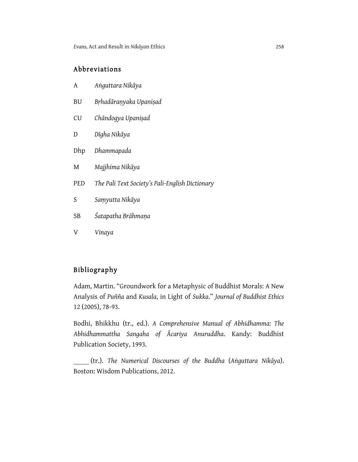#### Abbreviations

| A | Anguttara Nikāya |  |
|---|------------------|--|
|   |                  |  |

- BU *Bṛhadāraṇyaka Upaniṣad*
- CU *Chāndogya Upaniṣad*
- D *Dīgha Nikāya*
- Dhp *Dhammapada*
- M *Majjhima Nikāya*
- PED *The Pali Text Society's Pali-English Dictionary*
- S *Saṃyutta Nikāya*
- SB *Śatapatha Brāhmaṇa*
- V *Vinaya*

### Bibliography

Adam, Martin. "Groundwork for a Metaphysic of Buddhist Morals: A New Analysis of *Puñña* and *Kusala*, in Light of *Sukka*." *Journal of Buddhist Ethics*  12 (2005), 78-93.

Bodhi, Bhikkhu (tr., ed.). *A Comprehensive Manual of Abhidhamma: The Abhidhammattha Sangaha of Ācariya Anuruddha*. Kandy: Buddhist Publication Society, 1993.

 (tr.). *The Numerical Discourses of the Buddha* (*Aṅguttara Nikāya*). Boston: Wisdom Publications, 2012.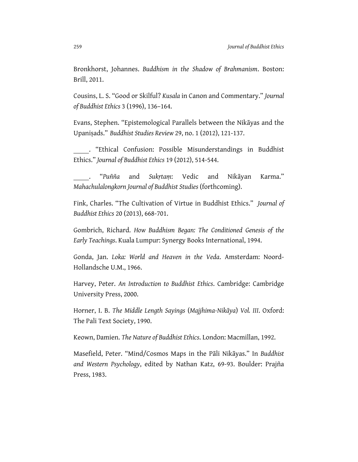Bronkhorst, Johannes. *Buddhism in the Shadow of Brahmanism*. Boston: Brill, 2011.

Cousins, L. S. "Good or Skilful? *Kusala* in Canon and Commentary." *Journal of Buddhist Ethics* 3 (1996), 136–164.

Evans, Stephen. "Epistemological Parallels between the Nikāyas and the Upaniṣads." *Buddhist Studies Review* 29, no. 1 (2012), 121-137.

 . "Ethical Confusion: Possible Misunderstandings in Buddhist Ethics." *Journal of Buddhist Ethics* 19 (2012), 514-544.

 . "*Puñña* and *Sukṛtaṃ*: Vedic and Nikāyan Karma." *Mahachulalongkorn Journal of Buddhist Studies* (forthcoming).

Fink, Charles. "The Cultivation of Virtue in Buddhist Ethics." *Journal of Buddhist Ethics* 20 (2013), 668-701.

Gombrich, Richard. *How Buddhism Began: The Conditioned Genesis of the Early Teachings*. Kuala Lumpur: Synergy Books International, 1994.

Gonda, Jan. *Loka: World and Heaven in the Veda*. Amsterdam: Noord-Hollandsche U.M., 1966.

Harvey, Peter. *An Introduction to Buddhist Ethics*. Cambridge: Cambridge University Press, 2000.

Horner, I. B. *The Middle Length Sayings* (*Majjhima-Nikāya*) *Vol. III*. Oxford: The Pali Text Society, 1990.

Keown, Damien. *The Nature of Buddhist Ethics*. London: Macmillan, 1992.

Masefield, Peter. "Mind/Cosmos Maps in the Pāli Nikāyas." In *Buddhist and Western Psychology*, edited by Nathan Katz, 69-93. Boulder: Prajña Press, 1983.